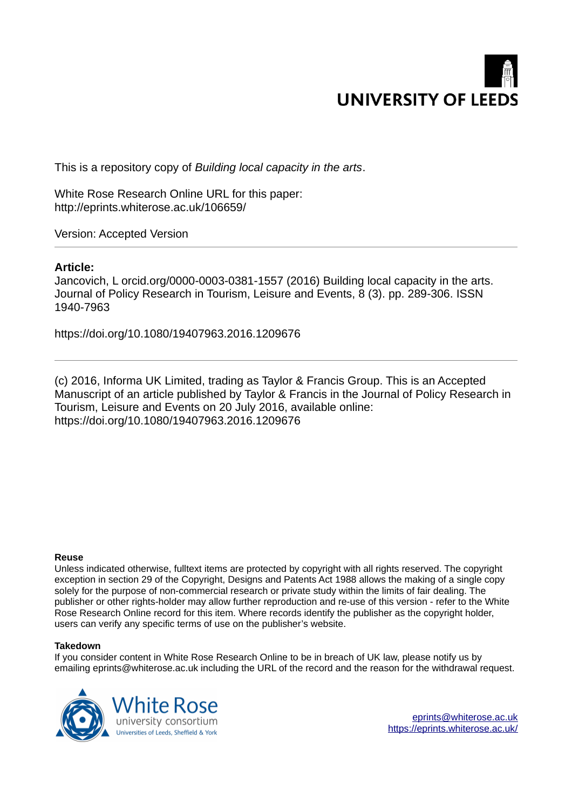

This is a repository copy of *Building local capacity in the arts*.

White Rose Research Online URL for this paper: http://eprints.whiterose.ac.uk/106659/

Version: Accepted Version

#### **Article:**

Jancovich, L orcid.org/0000-0003-0381-1557 (2016) Building local capacity in the arts. Journal of Policy Research in Tourism, Leisure and Events, 8 (3). pp. 289-306. ISSN 1940-7963

https://doi.org/10.1080/19407963.2016.1209676

(c) 2016, Informa UK Limited, trading as Taylor & Francis Group. This is an Accepted Manuscript of an article published by Taylor & Francis in the Journal of Policy Research in Tourism, Leisure and Events on 20 July 2016, available online: https://doi.org/10.1080/19407963.2016.1209676

#### **Reuse**

Unless indicated otherwise, fulltext items are protected by copyright with all rights reserved. The copyright exception in section 29 of the Copyright, Designs and Patents Act 1988 allows the making of a single copy solely for the purpose of non-commercial research or private study within the limits of fair dealing. The publisher or other rights-holder may allow further reproduction and re-use of this version - refer to the White Rose Research Online record for this item. Where records identify the publisher as the copyright holder, users can verify any specific terms of use on the publisher's website.

#### **Takedown**

If you consider content in White Rose Research Online to be in breach of UK law, please notify us by emailing eprints@whiterose.ac.uk including the URL of the record and the reason for the withdrawal request.

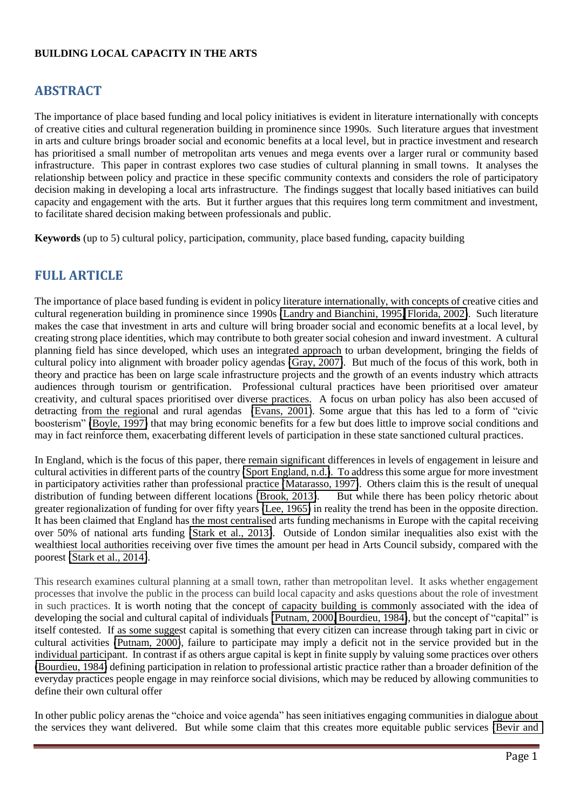#### **BUILDING LOCAL CAPACITY IN THE ARTS**

## **ABSTRACT**

The importance of place based funding and local policy initiatives is evident in literature internationally with concepts of creative cities and cultural regeneration building in prominence since 1990s. Such literature argues that investment in arts and culture brings broader social and economic benefits at a local level, but in practice investment and research has prioritised a small number of metropolitan arts venues and mega events over a larger rural or community based infrastructure. This paper in contrast explores two case studies of cultural planning in small towns. It analyses the relationship between policy and practice in these specific community contexts and considers the role of participatory decision making in developing a local arts infrastructure. The findings suggest that locally based initiatives can build capacity and engagement with the arts. But it further argues that this requires long term commitment and investment, to facilitate shared decision making between professionals and public.

**Keywords** (up to 5) cultural policy, participation, community, place based funding, capacity building

# **FULL ARTICLE**

The importance of place based funding is evident in policy literature internationally, with concepts of creative cities and cultural regeneration building in prominence since 1990s [\(Landry and Bianchini, 1995,](#page-11-0) [Florida, 2002\)](#page-10-0). Such literature makes the case that investment in arts and culture will bring broader social and economic benefits at a local level, by creating strong place identities, which may contribute to both greater social cohesion and inward investment. A cultural planning field has since developed, which uses an integrated approach to urban development, bringing the fields of cultural policy into alignment with broader policy agendas [\(Gray, 2007\)](#page-11-1). But much of the focus of this work, both in theory and practice has been on large scale infrastructure projects and the growth of an events industry which attracts audiences through tourism or gentrification. Professional cultural practices have been prioritised over amateur creativity, and cultural spaces prioritised over diverse practices. A focus on urban policy has also been accused of detracting from the regional and rural agendas [\(Evans, 2001\)](#page-10-1). Some argue that this has led to a form of "civic boosterism" [\(Boyle, 1997\)](#page-10-2) that may bring economic benefits for a few but does little to improve social conditions and may in fact reinforce them, exacerbating different levels of participation in these state sanctioned cultural practices.

In England, which is the focus of this paper, there remain significant differences in levels of engagement in leisure and cultural activities in different parts of the country [\(Sport England, n.d.\)](#page-11-2). To address this some argue for more investment in participatory activities rather than professional practice [\(Matarasso, 1997\)](#page-11-3). Others claim this is the result of unequal distribution of funding between different locations [\(Brook, 2013\)](#page-10-3). But while there has been policy rhetoric about greater regionalization of funding for over fifty years [\(Lee, 1965\)](#page-11-4) in reality the trend has been in the opposite direction. It has been claimed that England has the most centralised arts funding mechanisms in Europe with the capital receiving over 50% of national arts funding [\(Stark et al., 2013\)](#page-11-5). Outside of London similar inequalities also exist with the wealthiest local authorities receiving over five times the amount per head in Arts Council subsidy, compared with the poorest [\(Stark et al., 2014\)](#page-11-6).

This research examines cultural planning at a small town, rather than metropolitan level. It asks whether engagement processes that involve the public in the process can build local capacity and asks questions about the role of investment in such practices. It is worth noting that the concept of capacity building is commonly associated with the idea of developing the social and cultural capital of individuals [\(Putnam, 2000,](#page-11-7) [Bourdieu, 1984\)](#page-10-4), but the concept of "capital" is itself contested. If as some suggest capital is something that every citizen can increase through taking part in civic or cultural activities [\(Putnam, 2000\)](#page-11-7), failure to participate may imply a deficit not in the service provided but in the individual participant. In contrast if as others argue capital is kept in finite supply by valuing some practices over others [\(Bourdieu, 1984\)](#page-10-4) defining participation in relation to professional artistic practice rather than a broader definition of the everyday practices people engage in may reinforce social divisions, which may be reduced by allowing communities to define their own cultural offer

In other public policy arenas the "choice and voice agenda" has seen initiatives engaging communities in dialogue about the services they want delivered. But while some claim that this creates more equitable public services [\(Bevir and](#page-10-5)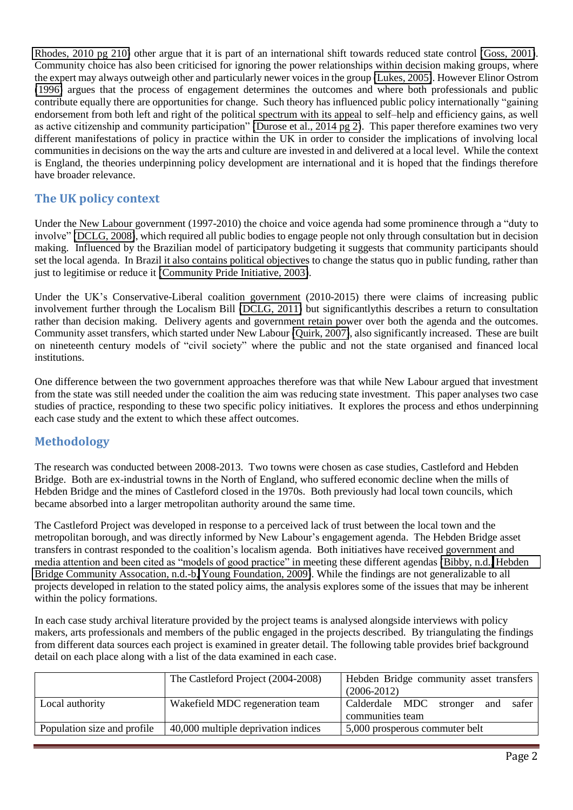[Rhodes, 2010 pg 210\)](#page-10-5) other argue that it is part of an international shift towards reduced state control [\(Goss, 2001\)](#page-10-6). Community choice has also been criticised for ignoring the power relationships within decision making groups, where the expert may always outweigh other and particularly newer voices in the group [\(Lukes, 2005\)](#page-11-8). However Elinor Ostrom [\(1996\)](#page-11-9) argues that the process of engagement determines the outcomes and where both professionals and public contribute equally there are opportunities for change. Such theory has influenced public policy internationally "gaining endorsement from both left and right of the political spectrum with its appeal to self–help and efficiency gains, as well as active citizenship and community participation" [\(Durose et al., 2014 pg 2\)](#page-10-7). This paper therefore examines two very different manifestations of policy in practice within the UK in order to consider the implications of involving local communities in decisions on the way the arts and culture are invested in and delivered at a local level. While the context is England, the theories underpinning policy development are international and it is hoped that the findings therefore have broader relevance.

#### **The UK policy context**

Under the New Labour government (1997-2010) the choice and voice agenda had some prominence through a "duty to involve" [\(DCLG, 2008\)](#page-10-8), which required all public bodies to engage people not only through consultation but in decision making. Influenced by the Brazilian model of participatory budgeting it suggests that community participants should set the local agenda. In Brazil it also contains political objectives to change the status quo in public funding, rather than just to legitimise or reduce it [\(Community Pride Initiative, 2003\)](#page-10-9).

Under the UK's Conservative-Liberal coalition government (2010-2015) there were claims of increasing public involvement further through the Localism Bill [\(DCLG, 2011\)](#page-10-10) but significantlythis describes a return to consultation rather than decision making. Delivery agents and government retain power over both the agenda and the outcomes. Community asset transfers, which started under New Labour [\(Quirk, 2007\)](#page-11-10), also significantly increased. These are built on nineteenth century models of "civil society" where the public and not the state organised and financed local institutions.

One difference between the two government approaches therefore was that while New Labour argued that investment from the state was still needed under the coalition the aim was reducing state investment. This paper analyses two case studies of practice, responding to these two specific policy initiatives. It explores the process and ethos underpinning each case study and the extent to which these affect outcomes.

## **Methodology**

The research was conducted between 2008-2013. Two towns were chosen as case studies, Castleford and Hebden Bridge. Both are ex-industrial towns in the North of England, who suffered economic decline when the mills of Hebden Bridge and the mines of Castleford closed in the 1970s. Both previously had local town councils, which became absorbed into a larger metropolitan authority around the same time.

The Castleford Project was developed in response to a perceived lack of trust between the local town and the metropolitan borough, and was directly informed by New Labour's engagement agenda. The Hebden Bridge asset transfers in contrast responded to the coalition's localism agenda. Both initiatives have received government and media attention and been cited as "models of good practice" in meeting these different agendas [\(Bibby, n.d.,](#page-10-11) [Hebden](#page-11-11)  [Bridge Community Assocation, n.d.-b,](#page-11-11) [Young Foundation, 2009\)](#page-12-0). While the findings are not generalizable to all projects developed in relation to the stated policy aims, the analysis explores some of the issues that may be inherent within the policy formations.

In each case study archival literature provided by the project teams is analysed alongside interviews with policy makers, arts professionals and members of the public engaged in the projects described. By triangulating the findings from different data sources each project is examined in greater detail. The following table provides brief background detail on each place along with a list of the data examined in each case.

|                             | The Castleford Project (2004-2008)  | Hebden Bridge community asset transfers<br>$(2006 - 2012)$  |
|-----------------------------|-------------------------------------|-------------------------------------------------------------|
| Local authority             | Wakefield MDC regeneration team     | Calderdale MDC stronger<br>safer<br>and<br>communities team |
| Population size and profile | 40,000 multiple deprivation indices | 5,000 prosperous commuter belt                              |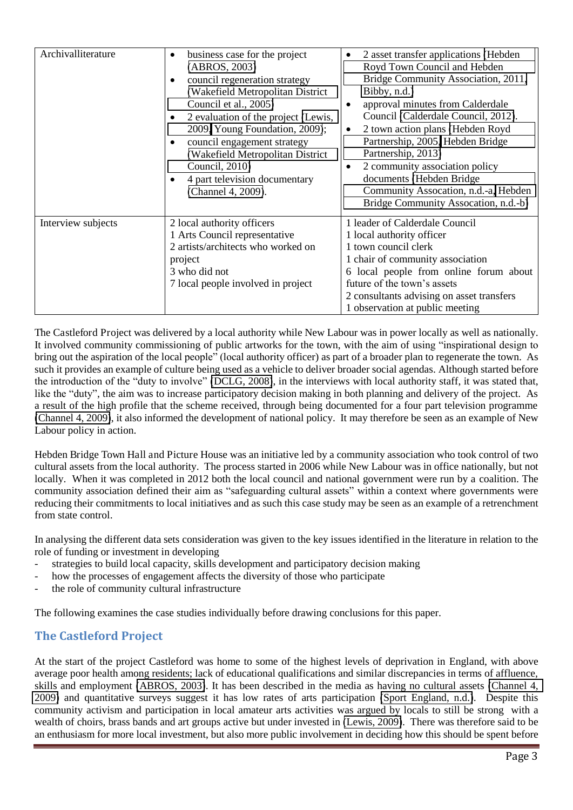| Archivalliterature | business case for the project<br>$\bullet$<br>(ABROS, 2003)<br>council regeneration strategy<br>(Wakefield Metropolitan District<br>Council et al., 2005)<br>2 evaluation of the project (Lewis,<br>٠<br>2009, Young Foundation, 2009);<br>council engagement strategy<br>٠<br>(Wakefield Metropolitan District<br>Council, 2010)<br>4 part television documentary<br>(Channel 4, 2009). | 2 asset transfer applications (Hebden<br>$\bullet$<br>Royd Town Council and Hebden<br>Bridge Community Association, 2011,<br>Bibby, n.d.)<br>approval minutes from Calderdale<br>$\bullet$<br>Council (Calderdale Council, 2012).<br>2 town action plans (Hebden Royd<br>Partnership, 2005, Hebden Bridge<br>Partnership, 2013)<br>2 community association policy<br>$\bullet$<br>documents (Hebden Bridge<br>Community Assocation, n.d.-a, Hebden<br>Bridge Community Assocation, n.d.-b) |
|--------------------|------------------------------------------------------------------------------------------------------------------------------------------------------------------------------------------------------------------------------------------------------------------------------------------------------------------------------------------------------------------------------------------|--------------------------------------------------------------------------------------------------------------------------------------------------------------------------------------------------------------------------------------------------------------------------------------------------------------------------------------------------------------------------------------------------------------------------------------------------------------------------------------------|
| Interview subjects | 2 local authority officers<br>1 Arts Council representative<br>2 artists/architects who worked on<br>project<br>3 who did not<br>7 local people involved in project                                                                                                                                                                                                                      | 1 leader of Calderdale Council<br>1 local authority officer<br>1 town council clerk<br>1 chair of community association<br>6 local people from online forum about<br>future of the town's assets<br>2 consultants advising on asset transfers<br>1 observation at public meeting                                                                                                                                                                                                           |

The Castleford Project was delivered by a local authority while New Labour was in power locally as well as nationally. It involved community commissioning of public artworks for the town, with the aim of using "inspirational design to bring out the aspiration of the local people" (local authority officer) as part of a broader plan to regenerate the town. As such it provides an example of culture being used as a vehicle to deliver broader social agendas. Although started before the introduction of the "duty to involve" [\(DCLG, 2008\)](#page-10-8), in the interviews with local authority staff, it was stated that, like the "duty", the aim was to increase participatory decision making in both planning and delivery of the project. As a result of the high profile that the scheme received, through being documented for a four part television programme [\(Channel 4, 2009\)](#page-10-13), it also informed the development of national policy. It may therefore be seen as an example of New Labour policy in action.

Hebden Bridge Town Hall and Picture House was an initiative led by a community association who took control of two cultural assets from the local authority. The process started in 2006 while New Labour was in office nationally, but not locally. When it was completed in 2012 both the local council and national government were run by a coalition. The community association defined their aim as "safeguarding cultural assets" within a context where governments were reducing their commitments to local initiatives and as such this case study may be seen as an example of a retrenchment from state control.

In analysing the different data sets consideration was given to the key issues identified in the literature in relation to the role of funding or investment in developing

- strategies to build local capacity, skills development and participatory decision making
- how the processes of engagement affects the diversity of those who participate
- the role of community cultural infrastructure

The following examines the case studies individually before drawing conclusions for this paper.

# **The Castleford Project**

At the start of the project Castleford was home to some of the highest levels of deprivation in England, with above average poor health among residents; lack of educational qualifications and similar discrepancies in terms of affluence, skills and employment [\(ABROS, 2003\)](#page-10-12). It has been described in the media as having no cultural assets [\(Channel 4,](#page-10-13)  [2009\)](#page-10-13) and quantitative surveys suggest it has low rates of arts participation [\(Sport England, n.d.\)](#page-11-2). Despite this community activism and participation in local amateur arts activities was argued by locals to still be strong with a wealth of choirs, brass bands and art groups active but under invested in [\(Lewis, 2009\)](#page-11-12). There was therefore said to be an enthusiasm for more local investment, but also more public involvement in deciding how this should be spent before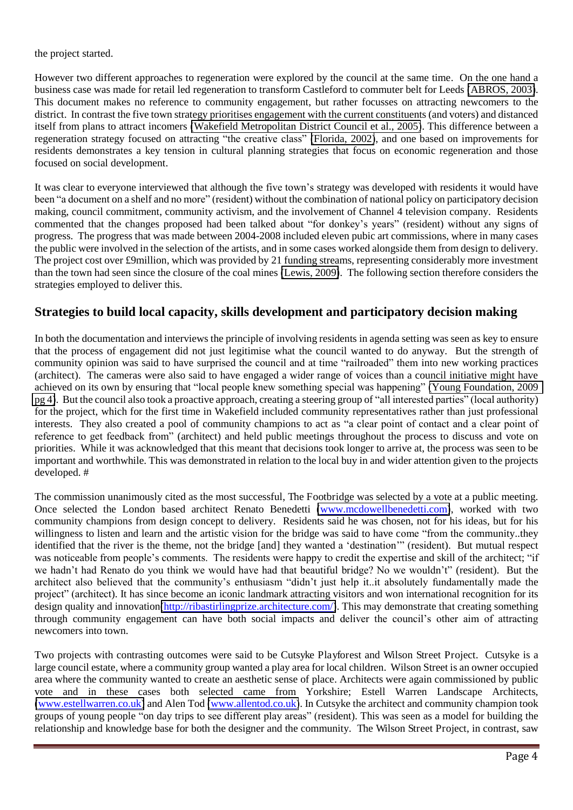the project started.

However two different approaches to regeneration were explored by the council at the same time. On the one hand a business case was made for retail led regeneration to transform Castleford to commuter belt for Leeds [\(ABROS, 2003\)](#page-10-12). This document makes no reference to community engagement, but rather focusses on attracting newcomers to the district. In contrast the five town strategy prioritises engagement with the current constituents (and voters) and distanced itself from plans to attract incomers [\(Wakefield Metropolitan District Council et al., 2005\)](#page-12-1). This difference between a regeneration strategy focused on attracting "the creative class" [\(Florida, 2002\)](#page-10-0), and one based on improvements for residents demonstrates a key tension in cultural planning strategies that focus on economic regeneration and those focused on social development.

It was clear to everyone interviewed that although the five town's strategy was developed with residents it would have been "a document on a shelf and no more" (resident) without the combination of national policy on participatory decision making, council commitment, community activism, and the involvement of Channel 4 television company. Residents commented that the changes proposed had been talked about "for donkey's years" (resident) without any signs of progress. The progress that was made between 2004-2008 included eleven pubic art commissions, where in many cases the public were involved in the selection of the artists, and in some cases worked alongside them from design to delivery. The project cost over £9million, which was provided by 21 funding streams, representing considerably more investment than the town had seen since the closure of the coal mines [\(Lewis, 2009\)](#page-11-12). The following section therefore considers the strategies employed to deliver this.

## **Strategies to build local capacity, skills development and participatory decision making**

In both the documentation and interviews the principle of involving residents in agenda setting was seen as key to ensure that the process of engagement did not just legitimise what the council wanted to do anyway. But the strength of community opinion was said to have surprised the council and at time "railroaded" them into new working practices (architect). The cameras were also said to have engaged a wider range of voices than a council initiative might have achieved on its own by ensuring that "local people knew something special was happening" [\(Young Foundation, 2009](#page-12-0)  [pg 4\)](#page-12-0). But the council also took a proactive approach, creating a steering group of "all interested parties" (local authority) for the project, which for the first time in Wakefield included community representatives rather than just professional interests. They also created a pool of community champions to act as "a clear point of contact and a clear point of reference to get feedback from" (architect) and held public meetings throughout the process to discuss and vote on priorities. While it was acknowledged that this meant that decisions took longer to arrive at, the process was seen to be important and worthwhile. This was demonstrated in relation to the local buy in and wider attention given to the projects developed. #

The commission unanimously cited as the most successful, The Footbridge was selected by a vote at a public meeting. Once selected the London based architect Renato Benedetti [\(www.mcdowellbenedetti.com\)](http://www.mcdowellbenedetti.com/), worked with two community champions from design concept to delivery. Residents said he was chosen, not for his ideas, but for his willingness to listen and learn and the artistic vision for the bridge was said to have come "from the community..they identified that the river is the theme, not the bridge [and] they wanted a 'destination'" (resident). But mutual respect was noticeable from people's comments. The residents were happy to credit the expertise and skill of the architect; "if we hadn't had Renato do you think we would have had that beautiful bridge? No we wouldn't" (resident). But the architect also believed that the community's enthusiasm "didn't just help it..it absolutely fundamentally made the project" (architect). It has since become an iconic landmark attracting visitors and won international recognition for its design quality and innovation[\(http://ribastirlingprize.architecture.com/\)](http://ribastirlingprize.architecture.com/). This may demonstrate that creating something through community engagement can have both social impacts and deliver the council's other aim of attracting newcomers into town.

Two projects with contrasting outcomes were said to be Cutsyke Playforest and Wilson Street Project. Cutsyke is a large council estate, where a community group wanted a play area for local children. Wilson Street is an owner occupied area where the community wanted to create an aesthetic sense of place. Architects were again commissioned by public vote and in these cases both selected came from Yorkshire; Estell Warren Landscape Architects, [\(www.estellwarren.co.uk\)](http://www.estellwarren.co.uk/) and Alen Tod [\(www.allentod.co.uk\)](http://www.allentod.co.uk/). In Cutsyke the architect and community champion took groups of young people "on day trips to see different play areas" (resident). This was seen as a model for building the relationship and knowledge base for both the designer and the community. The Wilson Street Project, in contrast, saw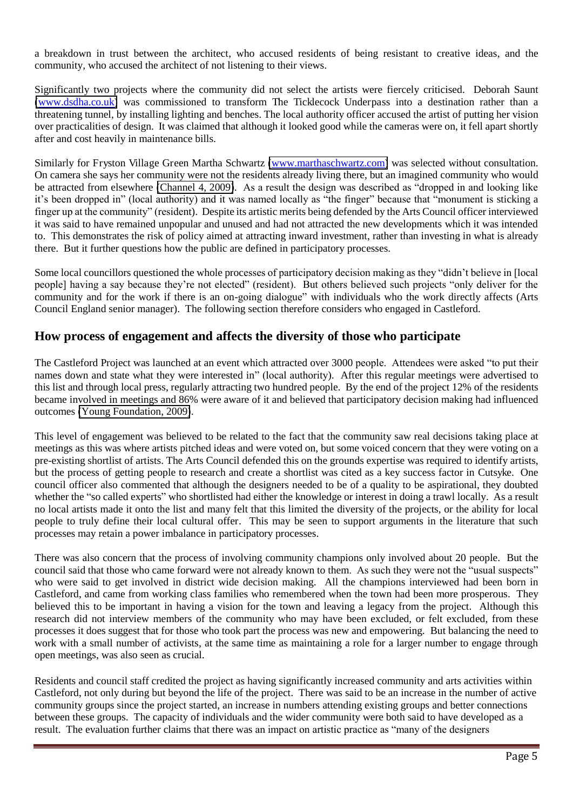a breakdown in trust between the architect, who accused residents of being resistant to creative ideas, and the community, who accused the architect of not listening to their views.

Significantly two projects where the community did not select the artists were fiercely criticised. Deborah Saunt [\(www.dsdha.co.uk\)](http://www.dsdha.co.uk/) was commissioned to transform The Ticklecock Underpass into a destination rather than a threatening tunnel, by installing lighting and benches. The local authority officer accused the artist of putting her vision over practicalities of design. It was claimed that although it looked good while the cameras were on, it fell apart shortly after and cost heavily in maintenance bills.

Similarly for Fryston Village Green Martha Schwartz [\(www.marthaschwartz.com\)](http://www.marthaschwartz.com/) was selected without consultation. On camera she says her community were not the residents already living there, but an imagined community who would be attracted from elsewhere [\(Channel 4, 2009\)](#page-10-13). As a result the design was described as "dropped in and looking like it's been dropped in" (local authority) and it was named locally as "the finger" because that "monument is sticking a finger up at the community" (resident). Despite its artistic merits being defended by the Arts Council officer interviewed it was said to have remained unpopular and unused and had not attracted the new developments which it was intended to. This demonstrates the risk of policy aimed at attracting inward investment, rather than investing in what is already there. But it further questions how the public are defined in participatory processes.

Some local councillors questioned the whole processes of participatory decision making as they "didn't believe in [local people] having a say because they're not elected" (resident). But others believed such projects "only deliver for the community and for the work if there is an on-going dialogue" with individuals who the work directly affects (Arts Council England senior manager). The following section therefore considers who engaged in Castleford.

#### **How process of engagement and affects the diversity of those who participate**

The Castleford Project was launched at an event which attracted over 3000 people. Attendees were asked "to put their names down and state what they were interested in" (local authority). After this regular meetings were advertised to this list and through local press, regularly attracting two hundred people. By the end of the project 12% of the residents became involved in meetings and 86% were aware of it and believed that participatory decision making had influenced outcomes [\(Young Foundation, 2009\)](#page-12-0).

This level of engagement was believed to be related to the fact that the community saw real decisions taking place at meetings as this was where artists pitched ideas and were voted on, but some voiced concern that they were voting on a pre-existing shortlist of artists. The Arts Council defended this on the grounds expertise was required to identify artists, but the process of getting people to research and create a shortlist was cited as a key success factor in Cutsyke. One council officer also commented that although the designers needed to be of a quality to be aspirational, they doubted whether the "so called experts" who shortlisted had either the knowledge or interest in doing a trawl locally. As a result no local artists made it onto the list and many felt that this limited the diversity of the projects, or the ability for local people to truly define their local cultural offer. This may be seen to support arguments in the literature that such processes may retain a power imbalance in participatory processes.

There was also concern that the process of involving community champions only involved about 20 people. But the council said that those who came forward were not already known to them. As such they were not the "usual suspects" who were said to get involved in district wide decision making. All the champions interviewed had been born in Castleford, and came from working class families who remembered when the town had been more prosperous. They believed this to be important in having a vision for the town and leaving a legacy from the project. Although this research did not interview members of the community who may have been excluded, or felt excluded, from these processes it does suggest that for those who took part the process was new and empowering. But balancing the need to work with a small number of activists, at the same time as maintaining a role for a larger number to engage through open meetings, was also seen as crucial.

Residents and council staff credited the project as having significantly increased community and arts activities within Castleford, not only during but beyond the life of the project. There was said to be an increase in the number of active community groups since the project started, an increase in numbers attending existing groups and better connections between these groups. The capacity of individuals and the wider community were both said to have developed as a result. The evaluation further claims that there was an impact on artistic practice as "many of the designers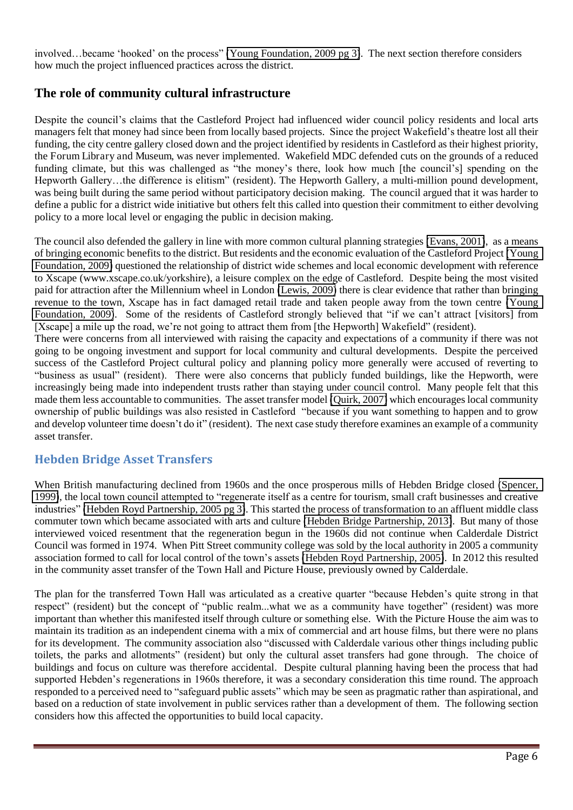involved…became 'hooked' on the process" [\(Young Foundation, 2009 pg 3\)](#page-12-0). The next section therefore considers how much the project influenced practices across the district.

#### **The role of community cultural infrastructure**

Despite the council's claims that the Castleford Project had influenced wider council policy residents and local arts managers felt that money had since been from locally based projects. Since the project Wakefield's theatre lost all their funding, the city centre gallery closed down and the project identified by residents in Castleford as their highest priority, the Forum Library and Museum, was never implemented. Wakefield MDC defended cuts on the grounds of a reduced funding climate, but this was challenged as "the money's there, look how much [the council's] spending on the Hepworth Gallery…the difference is elitism" (resident). The Hepworth Gallery, a multi-million pound development, was being built during the same period without participatory decision making. The council argued that it was harder to define a public for a district wide initiative but others felt this called into question their commitment to either devolving policy to a more local level or engaging the public in decision making.

The council also defended the gallery in line with more common cultural planning strategies [\(Evans, 2001\)](#page-10-1), as a means of bringing economic benefits to the district. But residents and the economic evaluation of the Castleford Project [\(Young](#page-12-0)  [Foundation, 2009\)](#page-12-0) questioned the relationship of district wide schemes and local economic development with reference to Xscape (www.xscape.co.uk/yorkshire), a leisure complex on the edge of Castleford. Despite being the most visited paid for attraction after the Millennium wheel in London [\(Lewis, 2009\)](#page-11-12) there is clear evidence that rather than bringing revenue to the town, Xscape has in fact damaged retail trade and taken people away from the town centre [\(Young](#page-12-0)  [Foundation, 2009\)](#page-12-0). Some of the residents of Castleford strongly believed that "if we can't attract [visitors] from [Xscape] a mile up the road, we're not going to attract them from [the Hepworth] Wakefield" (resident).

There were concerns from all interviewed with raising the capacity and expectations of a community if there was not going to be ongoing investment and support for local community and cultural developments. Despite the perceived success of the Castleford Project cultural policy and planning policy more generally were accused of reverting to "business as usual" (resident). There were also concerns that publicly funded buildings, like the Hepworth, were increasingly being made into independent trusts rather than staying under council control. Many people felt that this made them less accountable to communities. The asset transfer model [\(Quirk, 2007\)](#page-11-10) which encourages local community ownership of public buildings was also resisted in Castleford "because if you want something to happen and to grow and develop volunteer time doesn't do it" (resident). The next case study therefore examines an example of a community asset transfer.

## **Hebden Bridge Asset Transfers**

When British manufacturing declined from 1960s and the once prosperous mills of Hebden Bridge closed [\(Spencer,](#page-11-18)  [1999\)](#page-11-18), the local town council attempted to "regenerate itself as a centre for tourism, small craft businesses and creative industries" [\(Hebden Royd Partnership, 2005 pg 3\)](#page-11-15). This started the process of transformation to an affluent middle class commuter town which became associated with arts and culture [\(Hebden Bridge Partnership, 2013\)](#page-11-16). But many of those interviewed voiced resentment that the regeneration begun in the 1960s did not continue when Calderdale District Council was formed in 1974. When Pitt Street community college was sold by the local authority in 2005 a community association formed to call for local control of the town's assets [\(Hebden Royd Partnership, 2005\)](#page-11-15). In 2012 this resulted in the community asset transfer of the Town Hall and Picture House, previously owned by Calderdale.

The plan for the transferred Town Hall was articulated as a creative quarter "because Hebden's quite strong in that respect" (resident) but the concept of "public realm...what we as a community have together" (resident) was more important than whether this manifested itself through culture or something else. With the Picture House the aim was to maintain its tradition as an independent cinema with a mix of commercial and art house films, but there were no plans for its development. The community association also "discussed with Calderdale various other things including public toilets, the parks and allotments" (resident) but only the cultural asset transfers had gone through. The choice of buildings and focus on culture was therefore accidental. Despite cultural planning having been the process that had supported Hebden's regenerations in 1960s therefore, it was a secondary consideration this time round. The approach responded to a perceived need to "safeguard public assets" which may be seen as pragmatic rather than aspirational, and based on a reduction of state involvement in public services rather than a development of them. The following section considers how this affected the opportunities to build local capacity.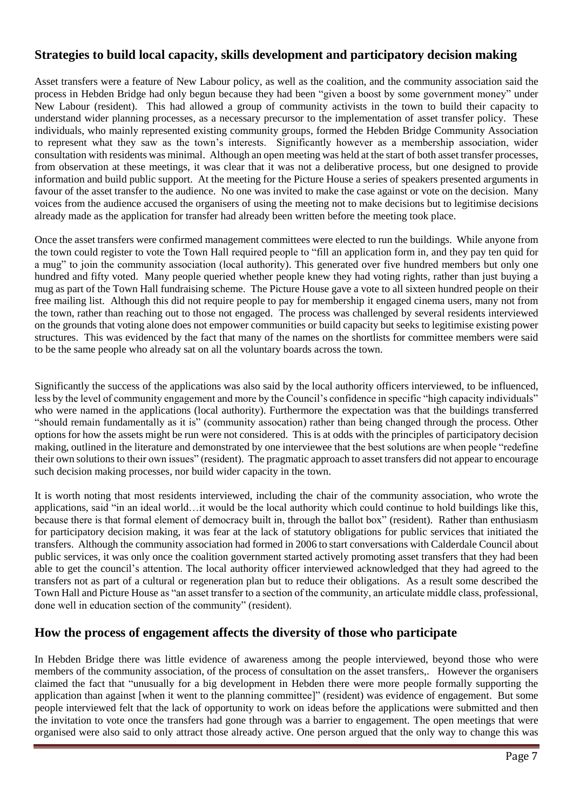# **Strategies to build local capacity, skills development and participatory decision making**

Asset transfers were a feature of New Labour policy, as well as the coalition, and the community association said the process in Hebden Bridge had only begun because they had been "given a boost by some government money" under New Labour (resident). This had allowed a group of community activists in the town to build their capacity to understand wider planning processes, as a necessary precursor to the implementation of asset transfer policy. These individuals, who mainly represented existing community groups, formed the Hebden Bridge Community Association to represent what they saw as the town's interests. Significantly however as a membership association, wider consultation with residents was minimal. Although an open meeting was held at the start of both asset transfer processes, from observation at these meetings, it was clear that it was not a deliberative process, but one designed to provide information and build public support. At the meeting for the Picture House a series of speakers presented arguments in favour of the asset transfer to the audience. No one was invited to make the case against or vote on the decision. Many voices from the audience accused the organisers of using the meeting not to make decisions but to legitimise decisions already made as the application for transfer had already been written before the meeting took place.

Once the asset transfers were confirmed management committees were elected to run the buildings. While anyone from the town could register to vote the Town Hall required people to "fill an application form in, and they pay ten quid for a mug" to join the community association (local authority). This generated over five hundred members but only one hundred and fifty voted. Many people queried whether people knew they had voting rights, rather than just buying a mug as part of the Town Hall fundraising scheme. The Picture House gave a vote to all sixteen hundred people on their free mailing list. Although this did not require people to pay for membership it engaged cinema users, many not from the town, rather than reaching out to those not engaged. The process was challenged by several residents interviewed on the grounds that voting alone does not empower communities or build capacity but seeks to legitimise existing power structures. This was evidenced by the fact that many of the names on the shortlists for committee members were said to be the same people who already sat on all the voluntary boards across the town.

Significantly the success of the applications was also said by the local authority officers interviewed, to be influenced, less by the level of community engagement and more by the Council's confidence in specific "high capacity individuals" who were named in the applications (local authority). Furthermore the expectation was that the buildings transferred "should remain fundamentally as it is" (community assocation) rather than being changed through the process. Other options for how the assets might be run were not considered. This is at odds with the principles of participatory decision making, outlined in the literature and demonstrated by one interviewee that the best solutions are when people "redefine their own solutions to their own issues" (resident). The pragmatic approach to asset transfers did not appear to encourage such decision making processes, nor build wider capacity in the town.

It is worth noting that most residents interviewed, including the chair of the community association, who wrote the applications, said "in an ideal world…it would be the local authority which could continue to hold buildings like this, because there is that formal element of democracy built in, through the ballot box" (resident). Rather than enthusiasm for participatory decision making, it was fear at the lack of statutory obligations for public services that initiated the transfers. Although the community association had formed in 2006 to start conversations with Calderdale Council about public services, it was only once the coalition government started actively promoting asset transfers that they had been able to get the council's attention. The local authority officer interviewed acknowledged that they had agreed to the transfers not as part of a cultural or regeneration plan but to reduce their obligations. As a result some described the Town Hall and Picture House as "an asset transfer to a section of the community, an articulate middle class, professional, done well in education section of the community" (resident).

## **How the process of engagement affects the diversity of those who participate**

In Hebden Bridge there was little evidence of awareness among the people interviewed, beyond those who were members of the community association, of the process of consultation on the asset transfers,. However the organisers claimed the fact that "unusually for a big development in Hebden there were more people formally supporting the application than against [when it went to the planning committee]" (resident) was evidence of engagement. But some people interviewed felt that the lack of opportunity to work on ideas before the applications were submitted and then the invitation to vote once the transfers had gone through was a barrier to engagement. The open meetings that were organised were also said to only attract those already active. One person argued that the only way to change this was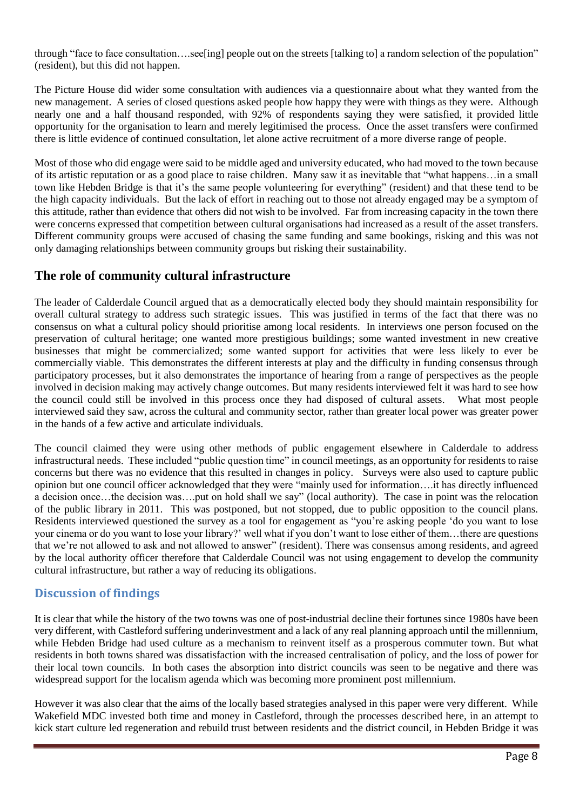through "face to face consultation….see[ing] people out on the streets [talking to] a random selection of the population" (resident), but this did not happen.

The Picture House did wider some consultation with audiences via a questionnaire about what they wanted from the new management. A series of closed questions asked people how happy they were with things as they were. Although nearly one and a half thousand responded, with 92% of respondents saying they were satisfied, it provided little opportunity for the organisation to learn and merely legitimised the process. Once the asset transfers were confirmed there is little evidence of continued consultation, let alone active recruitment of a more diverse range of people.

Most of those who did engage were said to be middle aged and university educated, who had moved to the town because of its artistic reputation or as a good place to raise children. Many saw it as inevitable that "what happens…in a small town like Hebden Bridge is that it's the same people volunteering for everything" (resident) and that these tend to be the high capacity individuals. But the lack of effort in reaching out to those not already engaged may be a symptom of this attitude, rather than evidence that others did not wish to be involved. Far from increasing capacity in the town there were concerns expressed that competition between cultural organisations had increased as a result of the asset transfers. Different community groups were accused of chasing the same funding and same bookings, risking and this was not only damaging relationships between community groups but risking their sustainability.

## **The role of community cultural infrastructure**

The leader of Calderdale Council argued that as a democratically elected body they should maintain responsibility for overall cultural strategy to address such strategic issues. This was justified in terms of the fact that there was no consensus on what a cultural policy should prioritise among local residents. In interviews one person focused on the preservation of cultural heritage; one wanted more prestigious buildings; some wanted investment in new creative businesses that might be commercialized; some wanted support for activities that were less likely to ever be commercially viable. This demonstrates the different interests at play and the difficulty in funding consensus through participatory processes, but it also demonstrates the importance of hearing from a range of perspectives as the people involved in decision making may actively change outcomes. But many residents interviewed felt it was hard to see how the council could still be involved in this process once they had disposed of cultural assets. What most people interviewed said they saw, across the cultural and community sector, rather than greater local power was greater power in the hands of a few active and articulate individuals.

The council claimed they were using other methods of public engagement elsewhere in Calderdale to address infrastructural needs. These included "public question time" in council meetings, as an opportunity for residents to raise concerns but there was no evidence that this resulted in changes in policy. Surveys were also used to capture public opinion but one council officer acknowledged that they were "mainly used for information….it has directly influenced a decision once…the decision was….put on hold shall we say" (local authority). The case in point was the relocation of the public library in 2011. This was postponed, but not stopped, due to public opposition to the council plans. Residents interviewed questioned the survey as a tool for engagement as "you're asking people 'do you want to lose your cinema or do you want to lose your library?' well what if you don't want to lose either of them…there are questions that we're not allowed to ask and not allowed to answer" (resident). There was consensus among residents, and agreed by the local authority officer therefore that Calderdale Council was not using engagement to develop the community cultural infrastructure, but rather a way of reducing its obligations.

## **Discussion of findings**

It is clear that while the history of the two towns was one of post-industrial decline their fortunes since 1980s have been very different, with Castleford suffering underinvestment and a lack of any real planning approach until the millennium, while Hebden Bridge had used culture as a mechanism to reinvent itself as a prosperous commuter town. But what residents in both towns shared was dissatisfaction with the increased centralisation of policy, and the loss of power for their local town councils. In both cases the absorption into district councils was seen to be negative and there was widespread support for the localism agenda which was becoming more prominent post millennium.

However it was also clear that the aims of the locally based strategies analysed in this paper were very different. While Wakefield MDC invested both time and money in Castleford, through the processes described here, in an attempt to kick start culture led regeneration and rebuild trust between residents and the district council, in Hebden Bridge it was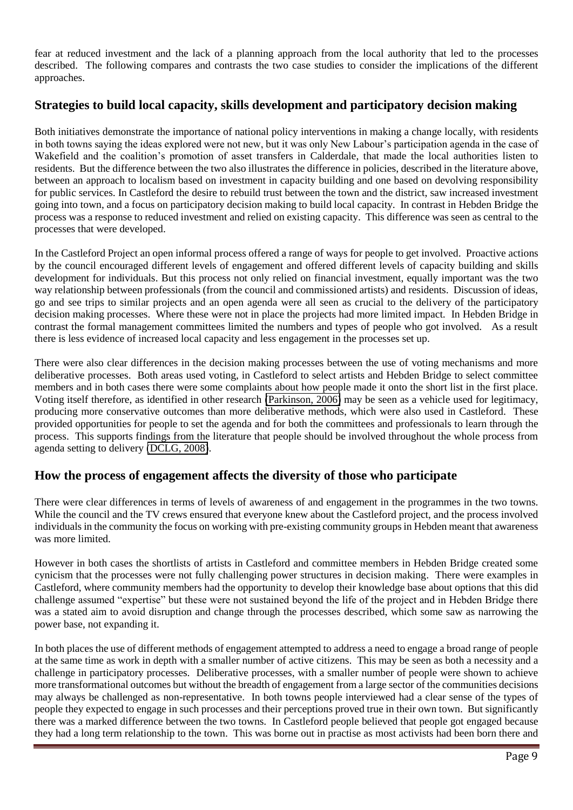fear at reduced investment and the lack of a planning approach from the local authority that led to the processes described. The following compares and contrasts the two case studies to consider the implications of the different approaches.

## **Strategies to build local capacity, skills development and participatory decision making**

Both initiatives demonstrate the importance of national policy interventions in making a change locally, with residents in both towns saying the ideas explored were not new, but it was only New Labour's participation agenda in the case of Wakefield and the coalition's promotion of asset transfers in Calderdale, that made the local authorities listen to residents. But the difference between the two also illustrates the difference in policies, described in the literature above, between an approach to localism based on investment in capacity building and one based on devolving responsibility for public services. In Castleford the desire to rebuild trust between the town and the district, saw increased investment going into town, and a focus on participatory decision making to build local capacity. In contrast in Hebden Bridge the process was a response to reduced investment and relied on existing capacity. This difference was seen as central to the processes that were developed.

In the Castleford Project an open informal process offered a range of ways for people to get involved. Proactive actions by the council encouraged different levels of engagement and offered different levels of capacity building and skills development for individuals. But this process not only relied on financial investment, equally important was the two way relationship between professionals (from the council and commissioned artists) and residents. Discussion of ideas, go and see trips to similar projects and an open agenda were all seen as crucial to the delivery of the participatory decision making processes. Where these were not in place the projects had more limited impact. In Hebden Bridge in contrast the formal management committees limited the numbers and types of people who got involved. As a result there is less evidence of increased local capacity and less engagement in the processes set up.

There were also clear differences in the decision making processes between the use of voting mechanisms and more deliberative processes. Both areas used voting, in Castleford to select artists and Hebden Bridge to select committee members and in both cases there were some complaints about how people made it onto the short list in the first place. Voting itself therefore, as identified in other research [\(Parkinson, 2006\)](#page-11-19) may be seen as a vehicle used for legitimacy, producing more conservative outcomes than more deliberative methods, which were also used in Castleford. These provided opportunities for people to set the agenda and for both the committees and professionals to learn through the process. This supports findings from the literature that people should be involved throughout the whole process from agenda setting to delivery [\(DCLG, 2008\)](#page-10-8).

## **How the process of engagement affects the diversity of those who participate**

There were clear differences in terms of levels of awareness of and engagement in the programmes in the two towns. While the council and the TV crews ensured that everyone knew about the Castleford project, and the process involved individuals in the community the focus on working with pre-existing community groups in Hebden meant that awareness was more limited.

However in both cases the shortlists of artists in Castleford and committee members in Hebden Bridge created some cynicism that the processes were not fully challenging power structures in decision making. There were examples in Castleford, where community members had the opportunity to develop their knowledge base about options that this did challenge assumed "expertise" but these were not sustained beyond the life of the project and in Hebden Bridge there was a stated aim to avoid disruption and change through the processes described, which some saw as narrowing the power base, not expanding it.

In both places the use of different methods of engagement attempted to address a need to engage a broad range of people at the same time as work in depth with a smaller number of active citizens. This may be seen as both a necessity and a challenge in participatory processes. Deliberative processes, with a smaller number of people were shown to achieve more transformational outcomes but without the breadth of engagement from a large sector of the communities decisions may always be challenged as non-representative. In both towns people interviewed had a clear sense of the types of people they expected to engage in such processes and their perceptions proved true in their own town. But significantly there was a marked difference between the two towns. In Castleford people believed that people got engaged because they had a long term relationship to the town. This was borne out in practise as most activists had been born there and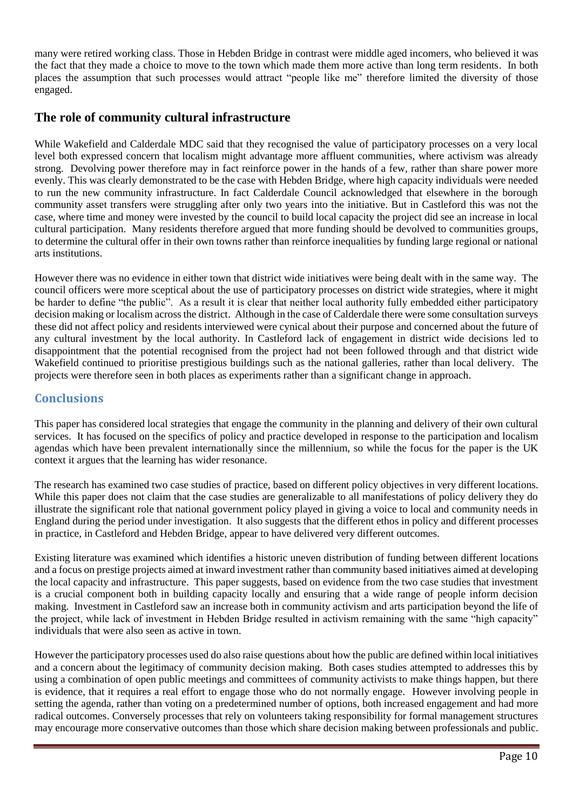many were retired working class. Those in Hebden Bridge in contrast were middle aged incomers, who believed it was the fact that they made a choice to move to the town which made them more active than long term residents. In both places the assumption that such processes would attract "people like me" therefore limited the diversity of those engaged.

## **The role of community cultural infrastructure**

While Wakefield and Calderdale MDC said that they recognised the value of participatory processes on a very local level both expressed concern that localism might advantage more affluent communities, where activism was already strong. Devolving power therefore may in fact reinforce power in the hands of a few, rather than share power more evenly. This was clearly demonstrated to be the case with Hebden Bridge, where high capacity individuals were needed to run the new community infrastructure. In fact Calderdale Council acknowledged that elsewhere in the borough community asset transfers were struggling after only two years into the initiative. But in Castleford this was not the case, where time and money were invested by the council to build local capacity the project did see an increase in local cultural participation. Many residents therefore argued that more funding should be devolved to communities groups, to determine the cultural offer in their own towns rather than reinforce inequalities by funding large regional or national arts institutions.

<span id="page-10-12"></span>However there was no evidence in either town that district wide initiatives were being dealt with in the same way. The council officers were more sceptical about the use of participatory processes on district wide strategies, where it might be harder to define "the public". As a result it is clear that neither local authority fully embedded either participatory decision making or localism across the district. Although in the case of Calderdale there were some consultation surveys these did not affect policy and residents interviewed were cynical about their purpose and concerned about the future of any cultural investment by the local authority. In Castleford lack of engagement in district wide decisions led to disappointment that the potential recognised from the project had not been followed through and that district wide Wakefield continued to prioritise prestigious buildings such as the national galleries, rather than local delivery. The projects were therefore seen in both places as experiments rather than a significant change in approach.

## <span id="page-10-11"></span><span id="page-10-5"></span><span id="page-10-4"></span><span id="page-10-2"></span>**Conclusions**

<span id="page-10-14"></span><span id="page-10-3"></span>This paper has considered local strategies that engage the community in the planning and delivery of their own cultural services. It has focused on the specifics of policy and practice developed in response to the participation and localism agendas which have been prevalent internationally since the millennium, so while the focus for the paper is the UK context it argues that the learning has wider resonance.

<span id="page-10-13"></span>The research has examined two case studies of practice, based on different policy objectives in very different locations. While this paper does not claim that the case studies are generalizable to all manifestations of policy delivery they do illustrate the significant role that national government policy played in giving a voice to local and community needs in England during the period under investigation. It also suggests that the different ethos in policy and different processes in practice, in Castleford and Hebden Bridge, appear to have delivered very different outcomes.

<span id="page-10-9"></span><span id="page-10-8"></span>Existing literature was examined which identifies a historic uneven distribution of funding between different locations and a focus on prestige projects aimed at inward investment rather than community based initiatives aimed at developing the local capacity and infrastructure. This paper suggests, based on evidence from the two case studies that investment is a crucial component both in building capacity locally and ensuring that a wide range of people inform decision making. Investment in Castleford saw an increase both in community activism and arts participation beyond the life of the project, while lack of investment in Hebden Bridge resulted in activism remaining with the same "high capacity" individuals that were also seen as active in town.

<span id="page-10-10"></span><span id="page-10-7"></span><span id="page-10-6"></span><span id="page-10-1"></span><span id="page-10-0"></span>However the participatory processes used do also raise questions about how the public are defined within local initiatives and a concern about the legitimacy of community decision making. Both cases studies attempted to addresses this by using a combination of open public meetings and committees of community activists to make things happen, but there is evidence, that it requires a real effort to engage those who do not normally engage. However involving people in setting the agenda, rather than voting on a predetermined number of options, both increased engagement and had more radical outcomes. Conversely processes that rely on volunteers taking responsibility for formal management structures may encourage more conservative outcomes than those which share decision making between professionals and public.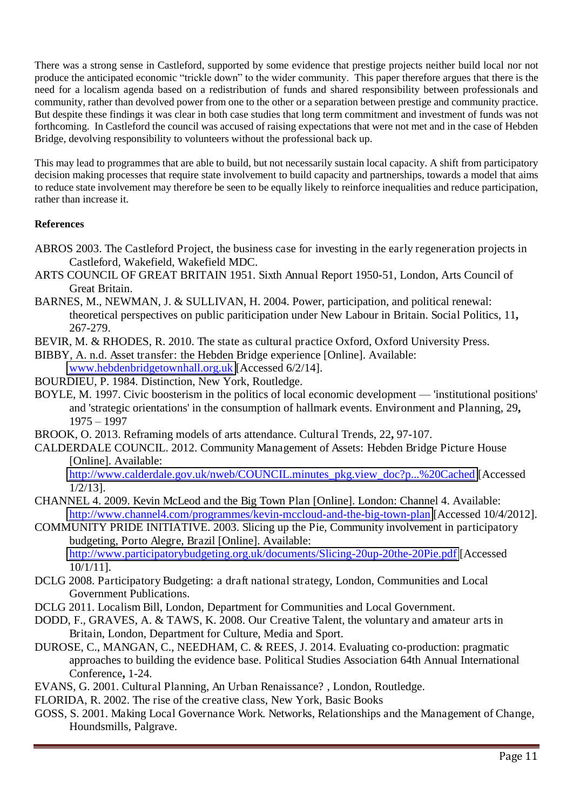<span id="page-11-17"></span><span id="page-11-11"></span><span id="page-11-1"></span>There was a strong sense in Castleford, supported by some evidence that prestige projects neither build local nor not produce the anticipated economic "trickle down" to the wider community. This paper therefore argues that there is the need for a localism agenda based on a redistribution of funds and shared responsibility between professionals and community, rather than devolved power from one to the other or a separation between prestige and community practice. But despite these findings it was clear in both case studies that long term commitment and investment of funds was not forthcoming. In Castleford the council was accused of raising expectations that were not met and in the case of Hebden Bridge, devolving responsibility to volunteers without the professional back up.

<span id="page-11-16"></span><span id="page-11-15"></span><span id="page-11-14"></span>This may lead to programmes that are able to build, but not necessarily sustain local capacity. A shift from participatory decision making processes that require state involvement to build capacity and partnerships, towards a model that aims to reduce state involvement may therefore be seen to be equally likely to reinforce inequalities and reduce participation, rather than increase it.

#### **References**

- ABROS 2003. The Castleford Project, the business case for investing in the early regeneration projects in Castleford, Wakefield, Wakefield MDC.
- ARTS COUNCIL OF GREAT BRITAIN 1951. Sixth Annual Report 1950-51, London, Arts Council of Great Britain.
- <span id="page-11-0"></span>BARNES, M., NEWMAN, J. & SULLIVAN, H. 2004. Power, participation, and political renewal: theoretical perspectives on public pariticipation under New Labour in Britain. Social Politics, 11**,** 267-279.
- <span id="page-11-4"></span>BEVIR, M. & RHODES, R. 2010. The state as cultural practice Oxford, Oxford University Press.

<span id="page-11-12"></span>BIBBY, A. n.d. Asset transfer: the Hebden Bridge experience [Online]. Available:

[www.hebdenbridgetownhall.org.uk](http://www.hebdenbridgetownhall.org.uk/) [Accessed 6/2/14].

- <span id="page-11-8"></span>BOURDIEU, P. 1984. Distinction, New York, Routledge.
- <span id="page-11-3"></span>BOYLE, M. 1997. Civic boosterism in the politics of local economic development — 'institutional positions' and 'strategic orientations' in the consumption of hallmark events. Environment and Planning, 29**,** 1975 – 1997

BROOK, O. 2013. Reframing models of arts attendance. Cultural Trends, 22**,** 97-107.

<span id="page-11-9"></span>CALDERDALE COUNCIL. 2012. Community Management of Assets: Hebden Bridge Picture House [Online]. Available:

[http://www.calderdale.gov.uk/nweb/COUNCIL.minutes\\_pkg.view\\_doc?p...%20Cached](http://www.calderdale.gov.uk/nweb/COUNCIL.minutes_pkg.view_doc?p...%20Cached) [Accessed 1/2/13].

<span id="page-11-19"></span>CHANNEL 4. 2009. Kevin McLeod and the Big Town Plan [Online]. London: Channel 4. Available: <http://www.channel4.com/programmes/kevin-mccloud-and-the-big-town-plan>[Accessed 10/4/2012].

<span id="page-11-7"></span>COMMUNITY PRIDE INITIATIVE. 2003. Slicing up the Pie, Community involvement in participatory budgeting, Porto Alegre, Brazil [Online]. Available: <http://www.participatorybudgeting.org.uk/documents/Slicing-20up-20the-20Pie.pdf>[Accessed 10/1/11].

- <span id="page-11-18"></span><span id="page-11-10"></span>DCLG 2008. Participatory Budgeting: a draft national strategy, London, Communities and Local Government Publications.
- <span id="page-11-2"></span>DCLG 2011. Localism Bill, London, Department for Communities and Local Government.
- DODD, F., GRAVES, A. & TAWS, K. 2008. Our Creative Talent, the voluntary and amateur arts in Britain, London, Department for Culture, Media and Sport.
- <span id="page-11-5"></span>DUROSE, C., MANGAN, C., NEEDHAM, C. & REES, J. 2014. Evaluating co-production: pragmatic approaches to building the evidence base. Political Studies Association 64th Annual International Conference**,** 1-24.
- <span id="page-11-6"></span>EVANS, G. 2001. Cultural Planning, An Urban Renaissance? , London, Routledge.
- <span id="page-11-13"></span>FLORIDA, R. 2002. The rise of the creative class, New York, Basic Books
- GOSS, S. 2001. Making Local Governance Work. Networks, Relationships and the Management of Change, Houndsmills, Palgrave.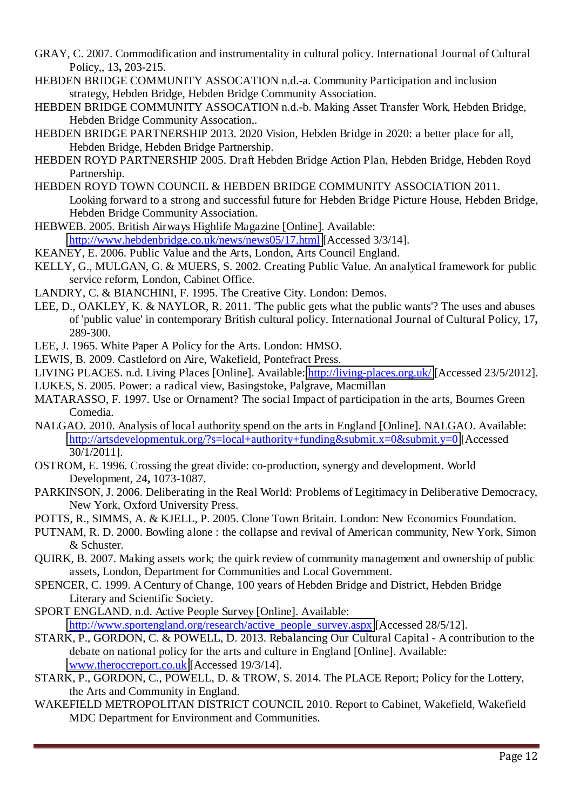- <span id="page-12-1"></span>GRAY, C. 2007. Commodification and instrumentality in cultural policy. International Journal of Cultural Policy,, 13**,** 203-215.
- <span id="page-12-0"></span>HEBDEN BRIDGE COMMUNITY ASSOCATION n.d.-a. Community Participation and inclusion strategy, Hebden Bridge, Hebden Bridge Community Association.
- HEBDEN BRIDGE COMMUNITY ASSOCATION n.d.-b. Making Asset Transfer Work, Hebden Bridge, Hebden Bridge Community Assocation,.
- HEBDEN BRIDGE PARTNERSHIP 2013. 2020 Vision, Hebden Bridge in 2020: a better place for all, Hebden Bridge, Hebden Bridge Partnership.
- HEBDEN ROYD PARTNERSHIP 2005. Draft Hebden Bridge Action Plan, Hebden Bridge, Hebden Royd Partnership.
- HEBDEN ROYD TOWN COUNCIL & HEBDEN BRIDGE COMMUNITY ASSOCIATION 2011. Looking forward to a strong and successful future for Hebden Bridge Picture House, Hebden Bridge, Hebden Bridge Community Association.
- HEBWEB. 2005. British Airways Highlife Magazine [Online]. Available:

<http://www.hebdenbridge.co.uk/news/news05/17.html>[Accessed 3/3/14].

- KEANEY, E. 2006. Public Value and the Arts, London, Arts Council England.
- KELLY, G., MULGAN, G. & MUERS, S. 2002. Creating Public Value. An analytical framework for public service reform, London, Cabinet Office.
- LANDRY, C. & BIANCHINI, F. 1995. The Creative City. London: Demos.
- LEE, D., OAKLEY, K. & NAYLOR, R. 2011. 'The public gets what the public wants'? The uses and abuses of 'public value' in contemporary British cultural policy. International Journal of Cultural Policy, 17**,** 289-300.
- LEE, J. 1965. White Paper A Policy for the Arts. London: HMSO.
- LEWIS, B. 2009. Castleford on Aire, Wakefield, Pontefract Press.
- LIVING PLACES. n.d. Living Places [Online]. Available:<http://living-places.org.uk/>[Accessed 23/5/2012].
- LUKES, S. 2005. Power: a radical view, Basingstoke, Palgrave, Macmillan
- MATARASSO, F. 1997. Use or Ornament? The social Impact of participation in the arts, Bournes Green Comedia.
- NALGAO. 2010. Analysis of local authority spend on the arts in England [Online]. NALGAO. Available: <http://artsdevelopmentuk.org/?s=local+authority+funding&submit.x=0&submit.y=0>[Accessed 30/1/2011].
- OSTROM, E. 1996. Crossing the great divide: co-production, synergy and development. World Development, 24**,** 1073-1087.
- PARKINSON, J. 2006. Deliberating in the Real World: Problems of Legitimacy in Deliberative Democracy, New York, Oxford University Press.
- POTTS, R., SIMMS, A. & KJELL, P. 2005. Clone Town Britain. London: New Economics Foundation.
- PUTNAM, R. D. 2000. Bowling alone : the collapse and revival of American community, New York, Simon & Schuster.
- QUIRK, B. 2007. Making assets work; the quirk review of community management and ownership of public assets, London, Department for Communities and Local Government.
- SPENCER, C. 1999. A Century of Change, 100 years of Hebden Bridge and District, Hebden Bridge Literary and Scientific Society.
- SPORT ENGLAND. n.d. Active People Survey [Online]. Available: [http://www.sportengland.org/research/active\\_people\\_survey.aspx](http://www.sportengland.org/research/active_people_survey.aspx) [Accessed 28/5/12].
- STARK, P., GORDON, C. & POWELL, D. 2013. Rebalancing Our Cultural Capital A contribution to the debate on national policy for the arts and culture in England [Online]. Available: [www.theroccreport.co.uk](http://www.theroccreport.co.uk/) [Accessed 19/3/14].
- STARK, P., GORDON, C., POWELL, D. & TROW, S. 2014. The PLACE Report; Policy for the Lottery, the Arts and Community in England.
- WAKEFIELD METROPOLITAN DISTRICT COUNCIL 2010. Report to Cabinet, Wakefield, Wakefield MDC Department for Environment and Communities.